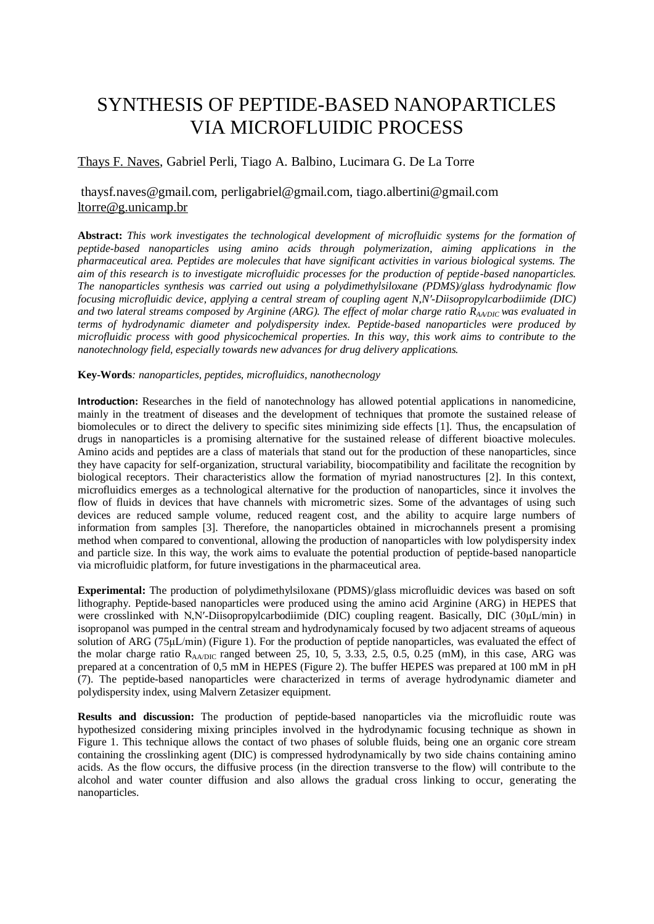# SYNTHESIS OF PEPTIDE-BASED NANOPARTICLES VIA MICROFLUIDIC PROCESS

## Thays F. Naves, Gabriel Perli, Tiago A. Balbino, Lucimara G. De La Torre

# thaysf.naves@gmail.com, [perligabriel@gmail.com,](mailto:perligabriel@gmail.com) tiago.albertini@gmail.com [ltorre@g.unicamp.br](mailto:ltorre@g.unicamp.br)

**Abstract:** *This work investigates the technological development of microfluidic systems for the formation of peptide-based nanoparticles using amino acids through polymerization, aiming applications in the pharmaceutical area. Peptides are molecules that have significant activities in various biological systems. The aim of this research is to investigate microfluidic processes for the production of peptide-based nanoparticles. The nanoparticles synthesis was carried out using a polydimethylsiloxane (PDMS)/glass hydrodynamic flow focusing microfluidic device, applying a central stream of coupling agent N,N′-Diisopropylcarbodiimide (DIC) and two lateral streams composed by Arginine (ARG). The effect of molar charge ratio RAA/DIC was evaluated in terms of hydrodynamic diameter and polydispersity index. Peptide-based nanoparticles were produced by microfluidic process with good physicochemical properties. In this way, this work aims to contribute to the nanotechnology field, especially towards new advances for drug delivery applications.*

#### **Key-Words***: nanoparticles, peptides, microfluidics, nanothecnology*

**Introduction:** Researches in the field of nanotechnology has allowed potential applications in nanomedicine, mainly in the treatment of diseases and the development of techniques that promote the sustained release of biomolecules or to direct the delivery to specific sites minimizing side effects [1]. Thus, the encapsulation of drugs in nanoparticles is a promising alternative for the sustained release of different bioactive molecules. Amino acids and peptides are a class of materials that stand out for the production of these nanoparticles, since they have capacity for self-organization, structural variability, biocompatibility and facilitate the recognition by biological receptors. Their characteristics allow the formation of myriad nanostructures [2]. In this context, microfluidics emerges as a technological alternative for the production of nanoparticles, since it involves the flow of fluids in devices that have channels with micrometric sizes. Some of the advantages of using such devices are reduced sample volume, reduced reagent cost, and the ability to acquire large numbers of information from samples [3]. Therefore, the nanoparticles obtained in microchannels present a promising method when compared to conventional, allowing the production of nanoparticles with low polydispersity index and particle size. In this way, the work aims to evaluate the potential production of peptide-based nanoparticle via microfluidic platform, for future investigations in the pharmaceutical area.

**Experimental:** The production of polydimethylsiloxane (PDMS)/glass microfluidic devices was based on soft lithography. Peptide-based nanoparticles were produced using the amino acid Arginine (ARG) in HEPES that were crosslinked with N,N′-Diisopropylcarbodiimide (DIC) coupling reagent. Basically, DIC (30μL/min) in isopropanol was pumped in the central stream and hydrodynamicaly focused by two adjacent streams of aqueous solution of ARG (75μL/min) (Figure 1). For the production of peptide nanoparticles, was evaluated the effect of the molar charge ratio  $R_{AA/DIC}$  ranged between 25, 10, 5, 3.33, 2.5, 0.5, 0.25 (mM), in this case, ARG was prepared at a concentration of 0,5 mM in HEPES (Figure 2). The buffer HEPES was prepared at 100 mM in pH (7). The peptide-based nanoparticles were characterized in terms of average hydrodynamic diameter and polydispersity index, using Malvern Zetasizer equipment.

**Results and discussion:** The production of peptide-based nanoparticles via the microfluidic route was hypothesized considering mixing principles involved in the hydrodynamic focusing technique as shown in Figure 1. This technique allows the contact of two phases of soluble fluids, being one an organic core stream containing the crosslinking agent (DIC) is compressed hydrodynamically by two side chains containing amino acids. As the flow occurs, the diffusive process (in the direction transverse to the flow) will contribute to the alcohol and water counter diffusion and also allows the gradual cross linking to occur, generating the nanoparticles.